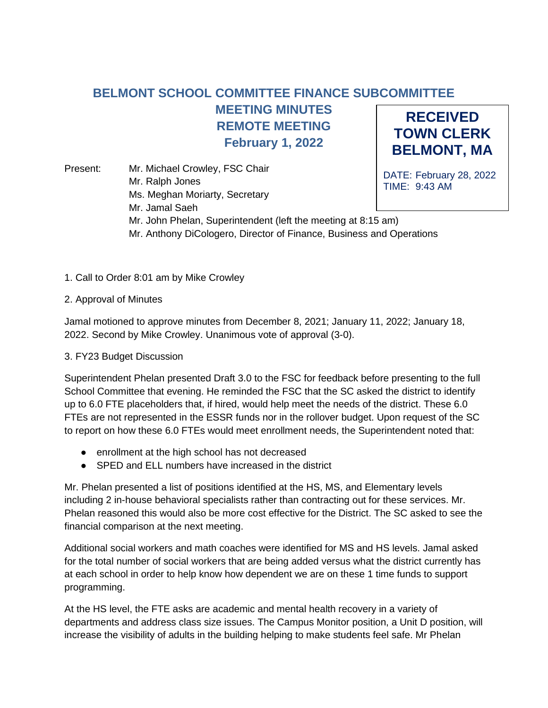## **RECEIVED TOWN CLERK BELMONT, MA BELMONT SCHOOL COMMITTEE FINANCE SUBCOMMITTEE MEETING MINUTES REMOTE MEETING February 1, 2022**

DATE: February 28, 2022 TIME: 9:43 AM Present: Mr. Michael Crowley, FSC Chair Mr. Ralph Jones Ms. Meghan Moriarty, Secretary Mr. Jamal Saeh Mr. John Phelan, Superintendent (left the meeting at 8:15 am) Mr. Anthony DiCologero, Director of Finance, Business and Operations

1. Call to Order 8:01 am by Mike Crowley

## 2. Approval of Minutes

Jamal motioned to approve minutes from December 8, 2021; January 11, 2022; January 18, 2022. Second by Mike Crowley. Unanimous vote of approval (3-0).

## 3. FY23 Budget Discussion

Superintendent Phelan presented Draft 3.0 to the FSC for feedback before presenting to the full School Committee that evening. He reminded the FSC that the SC asked the district to identify up to 6.0 FTE placeholders that, if hired, would help meet the needs of the district. These 6.0 FTEs are not represented in the ESSR funds nor in the rollover budget. Upon request of the SC to report on how these 6.0 FTEs would meet enrollment needs, the Superintendent noted that:

- enrollment at the high school has not decreased
- SPED and ELL numbers have increased in the district

Mr. Phelan presented a list of positions identified at the HS, MS, and Elementary levels including 2 in-house behavioral specialists rather than contracting out for these services. Mr. Phelan reasoned this would also be more cost effective for the District. The SC asked to see the financial comparison at the next meeting.

Additional social workers and math coaches were identified for MS and HS levels. Jamal asked for the total number of social workers that are being added versus what the district currently has at each school in order to help know how dependent we are on these 1 time funds to support programming.

At the HS level, the FTE asks are academic and mental health recovery in a variety of departments and address class size issues. The Campus Monitor position, a Unit D position, will increase the visibility of adults in the building helping to make students feel safe. Mr Phelan